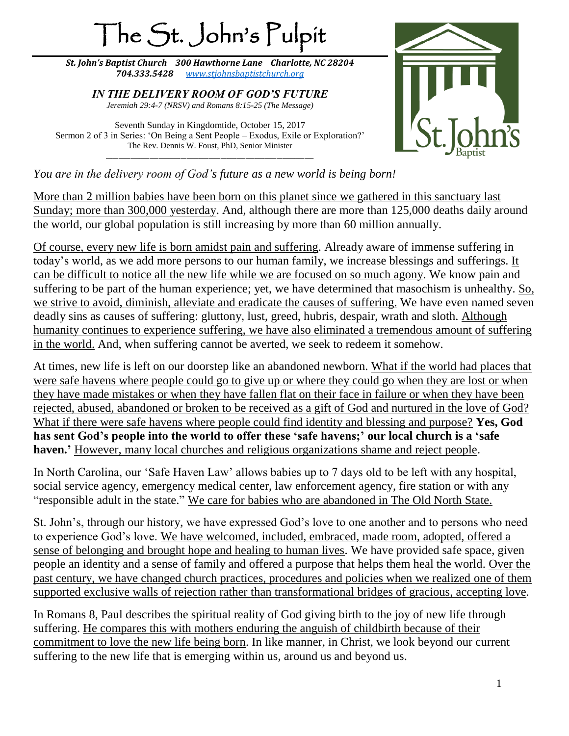# The St. John's Pulpit

*St. John's Baptist Church 300 Hawthorne Lane Charlotte, NC 28204 704.333.5428 [www.stjohnsbaptistchurch.org](http://www.stjohnsbaptistchurch.org/)*

*IN THE DELIVERY ROOM OF GOD'S FUTURE Jeremiah 29:4-7 (NRSV) and Romans 8:15-25 (The Message)*

Seventh Sunday in Kingdomtide, October 15, 2017 Sermon 2 of 3 in Series: 'On Being a Sent People – Exodus, Exile or Exploration?' The Rev. Dennis W. Foust, PhD, Senior Minister \_\_\_\_\_\_\_\_\_\_\_\_\_\_\_\_\_\_\_\_\_\_\_\_\_\_\_\_\_\_\_\_\_\_\_\_\_\_\_\_\_\_\_\_\_\_\_\_\_\_\_\_\_\_\_\_\_\_\_\_\_\_\_\_\_\_\_



*You are in the delivery room of God's future as a new world is being born!*

More than 2 million babies have been born on this planet since we gathered in this sanctuary last Sunday; more than 300,000 yesterday. And, although there are more than 125,000 deaths daily around the world, our global population is still increasing by more than 60 million annually.

Of course, every new life is born amidst pain and suffering. Already aware of immense suffering in today's world, as we add more persons to our human family, we increase blessings and sufferings. It can be difficult to notice all the new life while we are focused on so much agony. We know pain and suffering to be part of the human experience; yet, we have determined that masochism is unhealthy. So, we strive to avoid, diminish, alleviate and eradicate the causes of suffering. We have even named seven deadly sins as causes of suffering: gluttony, lust, greed, hubris, despair, wrath and sloth. Although humanity continues to experience suffering, we have also eliminated a tremendous amount of suffering in the world. And, when suffering cannot be averted, we seek to redeem it somehow.

At times, new life is left on our doorstep like an abandoned newborn. What if the world had places that were safe havens where people could go to give up or where they could go when they are lost or when they have made mistakes or when they have fallen flat on their face in failure or when they have been rejected, abused, abandoned or broken to be received as a gift of God and nurtured in the love of God? What if there were safe havens where people could find identity and blessing and purpose? **Yes, God has sent God's people into the world to offer these 'safe havens;' our local church is a 'safe haven.'** However, many local churches and religious organizations shame and reject people.

In North Carolina, our 'Safe Haven Law' allows babies up to 7 days old to be left with any hospital, social service agency, emergency medical center, law enforcement agency, fire station or with any "responsible adult in the state." We care for babies who are abandoned in The Old North State.

St. John's, through our history, we have expressed God's love to one another and to persons who need to experience God's love. We have welcomed, included, embraced, made room, adopted, offered a sense of belonging and brought hope and healing to human lives. We have provided safe space, given people an identity and a sense of family and offered a purpose that helps them heal the world. Over the past century, we have changed church practices, procedures and policies when we realized one of them supported exclusive walls of rejection rather than transformational bridges of gracious, accepting love.

In Romans 8, Paul describes the spiritual reality of God giving birth to the joy of new life through suffering. He compares this with mothers enduring the anguish of childbirth because of their commitment to love the new life being born. In like manner, in Christ, we look beyond our current suffering to the new life that is emerging within us, around us and beyond us.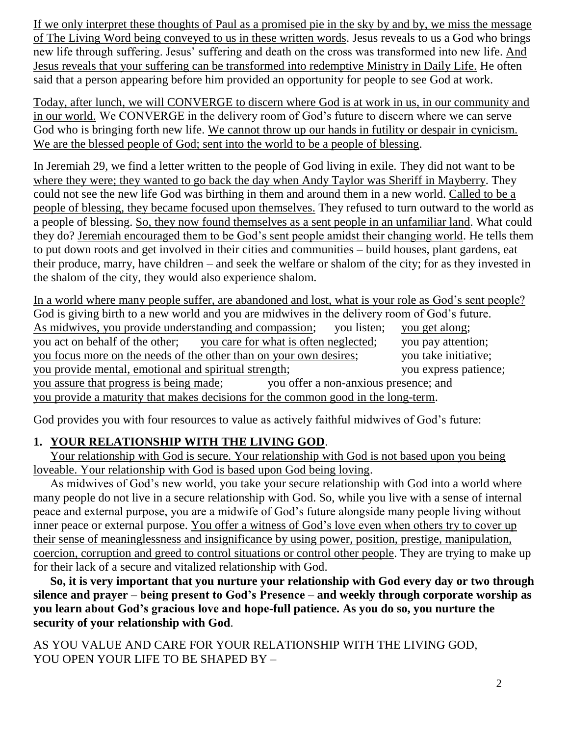If we only interpret these thoughts of Paul as a promised pie in the sky by and by, we miss the message of The Living Word being conveyed to us in these written words. Jesus reveals to us a God who brings new life through suffering. Jesus' suffering and death on the cross was transformed into new life. And Jesus reveals that your suffering can be transformed into redemptive Ministry in Daily Life. He often said that a person appearing before him provided an opportunity for people to see God at work.

Today, after lunch, we will CONVERGE to discern where God is at work in us, in our community and in our world. We CONVERGE in the delivery room of God's future to discern where we can serve God who is bringing forth new life. We cannot throw up our hands in futility or despair in cynicism. We are the blessed people of God; sent into the world to be a people of blessing.

In Jeremiah 29, we find a letter written to the people of God living in exile. They did not want to be where they were; they wanted to go back the day when Andy Taylor was Sheriff in Mayberry. They could not see the new life God was birthing in them and around them in a new world. Called to be a people of blessing, they became focused upon themselves. They refused to turn outward to the world as a people of blessing. So, they now found themselves as a sent people in an unfamiliar land. What could they do? Jeremiah encouraged them to be God's sent people amidst their changing world. He tells them to put down roots and get involved in their cities and communities – build houses, plant gardens, eat their produce, marry, have children – and seek the welfare or shalom of the city; for as they invested in the shalom of the city, they would also experience shalom.

In a world where many people suffer, are abandoned and lost, what is your role as God's sent people? God is giving birth to a new world and you are midwives in the delivery room of God's future. As midwives, you provide understanding and compassion; you listen; you get along; you act on behalf of the other; you care for what is often neglected; you pay attention; you focus more on the needs of the other than on your own desires; you take initiative; you provide mental, emotional and spiritual strength; you express patience; you assure that progress is being made; you offer a non-anxious presence; and you provide a maturity that makes decisions for the common good in the long-term.

God provides you with four resources to value as actively faithful midwives of God's future:

#### **1. YOUR RELATIONSHIP WITH THE LIVING GOD**.

Your relationship with God is secure. Your relationship with God is not based upon you being loveable. Your relationship with God is based upon God being loving.

As midwives of God's new world, you take your secure relationship with God into a world where many people do not live in a secure relationship with God. So, while you live with a sense of internal peace and external purpose, you are a midwife of God's future alongside many people living without inner peace or external purpose. You offer a witness of God's love even when others try to cover up their sense of meaninglessness and insignificance by using power, position, prestige, manipulation, coercion, corruption and greed to control situations or control other people. They are trying to make up for their lack of a secure and vitalized relationship with God.

**So, it is very important that you nurture your relationship with God every day or two through silence and prayer – being present to God's Presence – and weekly through corporate worship as you learn about God's gracious love and hope-full patience. As you do so, you nurture the security of your relationship with God**.

AS YOU VALUE AND CARE FOR YOUR RELATIONSHIP WITH THE LIVING GOD, YOU OPEN YOUR LIFE TO BE SHAPED BY –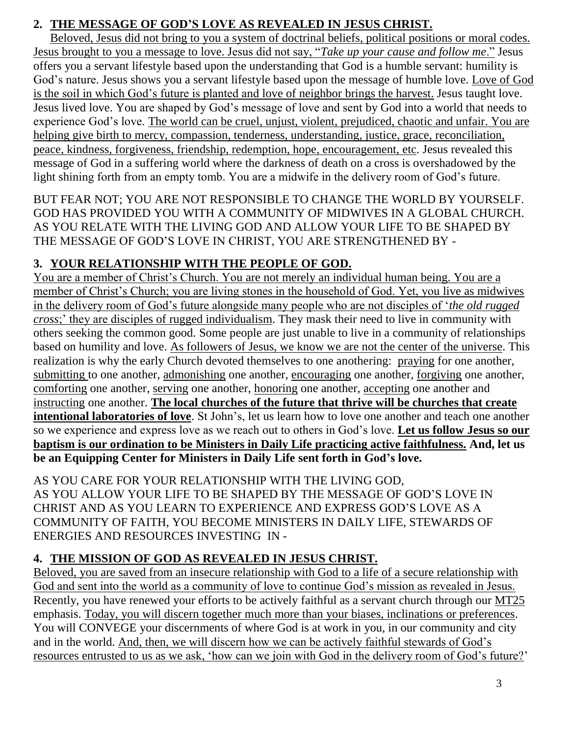## **2. THE MESSAGE OF GOD'S LOVE AS REVEALED IN JESUS CHRIST.**

Beloved, Jesus did not bring to you a system of doctrinal beliefs, political positions or moral codes. Jesus brought to you a message to love. Jesus did not say, "*Take up your cause and follow me*." Jesus offers you a servant lifestyle based upon the understanding that God is a humble servant: humility is God's nature. Jesus shows you a servant lifestyle based upon the message of humble love. Love of God is the soil in which God's future is planted and love of neighbor brings the harvest. Jesus taught love. Jesus lived love. You are shaped by God's message of love and sent by God into a world that needs to experience God's love. The world can be cruel, unjust, violent, prejudiced, chaotic and unfair. You are helping give birth to mercy, compassion, tenderness, understanding, justice, grace, reconciliation, peace, kindness, forgiveness, friendship, redemption, hope, encouragement, etc. Jesus revealed this message of God in a suffering world where the darkness of death on a cross is overshadowed by the light shining forth from an empty tomb. You are a midwife in the delivery room of God's future.

BUT FEAR NOT; YOU ARE NOT RESPONSIBLE TO CHANGE THE WORLD BY YOURSELF. GOD HAS PROVIDED YOU WITH A COMMUNITY OF MIDWIVES IN A GLOBAL CHURCH. AS YOU RELATE WITH THE LIVING GOD AND ALLOW YOUR LIFE TO BE SHAPED BY THE MESSAGE OF GOD'S LOVE IN CHRIST, YOU ARE STRENGTHENED BY -

#### **3. YOUR RELATIONSHIP WITH THE PEOPLE OF GOD.**

You are a member of Christ's Church. You are not merely an individual human being. You are a member of Christ's Church; you are living stones in the household of God. Yet, you live as midwives in the delivery room of God's future alongside many people who are not disciples of '*the old rugged cross*;' they are disciples of rugged individualism. They mask their need to live in community with others seeking the common good. Some people are just unable to live in a community of relationships based on humility and love. As followers of Jesus, we know we are not the center of the universe. This realization is why the early Church devoted themselves to one anothering: praying for one another, submitting to one another, admonishing one another, encouraging one another, forgiving one another, comforting one another, serving one another, honoring one another, accepting one another and instructing one another. **The local churches of the future that thrive will be churches that create intentional laboratories of love**. St John's, let us learn how to love one another and teach one another so we experience and express love as we reach out to others in God's love. **Let us follow Jesus so our baptism is our ordination to be Ministers in Daily Life practicing active faithfulness. And, let us be an Equipping Center for Ministers in Daily Life sent forth in God's love.**

AS YOU CARE FOR YOUR RELATIONSHIP WITH THE LIVING GOD, AS YOU ALLOW YOUR LIFE TO BE SHAPED BY THE MESSAGE OF GOD'S LOVE IN CHRIST AND AS YOU LEARN TO EXPERIENCE AND EXPRESS GOD'S LOVE AS A COMMUNITY OF FAITH, YOU BECOME MINISTERS IN DAILY LIFE, STEWARDS OF ENERGIES AND RESOURCES INVESTING IN -

## **4. THE MISSION OF GOD AS REVEALED IN JESUS CHRIST.**

Beloved, you are saved from an insecure relationship with God to a life of a secure relationship with God and sent into the world as a community of love to continue God's mission as revealed in Jesus. Recently, you have renewed your efforts to be actively faithful as a servant church through our MT25 emphasis. Today, you will discern together much more than your biases, inclinations or preferences. You will CONVEGE your discernments of where God is at work in you, in our community and city and in the world. And, then, we will discern how we can be actively faithful stewards of God's resources entrusted to us as we ask, 'how can we join with God in the delivery room of God's future?'